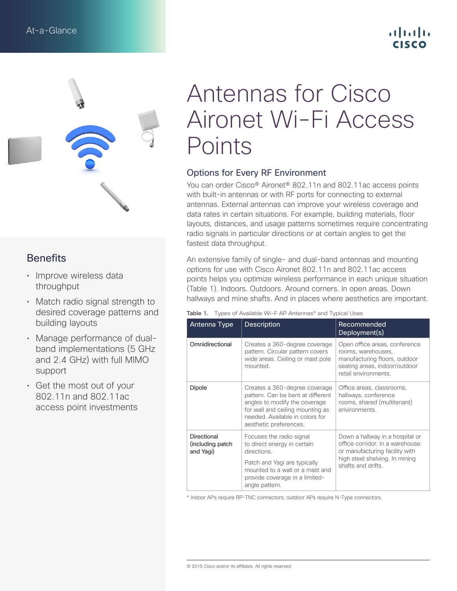## . 1 1 . 1 1 . . **CISCO**



### **Benefits**

- Improve wireless data throughput
- Match radio signal strength to desired coverage patterns and building layouts
- Manage performance of dualband implementations (5 GHz and 2.4 GHz) with full MIMO support
- • Get the most out of your 802.11n and 802.11ac access point investments

# Antennas for Cisco Aironet Wi-Fi Access Points

#### Options for Every RF Environment

You can order Cisco® Aironet® 802.11n and 802.11ac access points with built-in antennas or with RF ports for connecting to external antennas. External antennas can improve your wireless coverage and data rates in certain situations. For example, building materials, floor layouts, distances, and usage patterns sometimes require concentrating radio signals in particular directions or at certain angles to get the fastest data throughput.

An extensive family of single- and dual-band antennas and mounting options for use with Cisco Aironet 802.11n and 802.11ac access points helps you optimize wireless performance in each unique situation (Table 1). Indoors. Outdoors. Around corners. In open areas. Down hallways and mine shafts. And in places where aesthetics are important.

| Antenna Type                                 | <b>Description</b>                                                                                                                                                                                   | Recommended<br>Deployment(s)                                                                                                                                 |
|----------------------------------------------|------------------------------------------------------------------------------------------------------------------------------------------------------------------------------------------------------|--------------------------------------------------------------------------------------------------------------------------------------------------------------|
| Omnidirectional                              | Creates a 360-degree coverage<br>pattern. Circular pattern covers<br>wide areas. Ceiling or mast pole<br>mounted.                                                                                    | Open office areas, conference<br>rooms, warehouses,<br>manufacturing floors, outdoor<br>seating areas, indoor/outdoor<br>retail environments.                |
| Dipole                                       | Creates a 360-degree coverage<br>pattern. Can be bent at different<br>angles to modify the coverage<br>for wall and ceiling mounting as<br>needed. Available in colors for<br>aesthetic preferences. | Office areas, classrooms,<br>hallways, conference<br>rooms, shared (multitenant)<br>environments.                                                            |
| Directional<br>(including patch<br>and Yagi) | Focuses the radio signal<br>to direct energy in certain<br>directions.<br>Patch and Yagi are typically<br>mounted to a wall or a mast and<br>provide coverage in a limited-<br>angle pattern.        | Down a hallway in a hospital or<br>office corridor. In a warehouse<br>or manufacturing facility with<br>high steel shelving. In mining<br>shafts and drifts. |

Table 1. Types of Available Wi-F AP Antennas\* and Typical Uses

\* Indoor APs require RP-TNC connectors; outdoor APs require N-Type connectors.